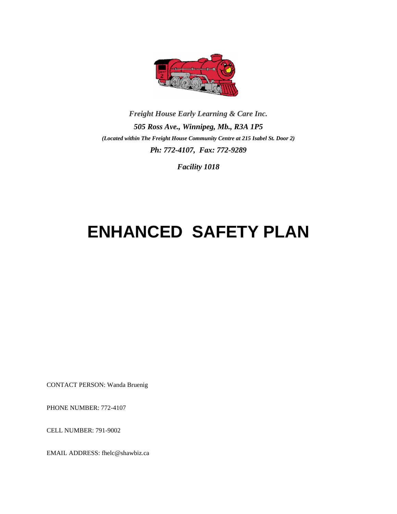

*Freight House Early Learning & Care Inc. 505 Ross Ave., Winnipeg, Mb., R3A 1P5 (Located within The Freight House Community Centre at 215 Isabel St. Door 2) Ph: 772-4107, Fax: 772-9289*

*Facility 1018*

# **ENHANCED SAFETY PLAN**

CONTACT PERSON: Wanda Bruenig

PHONE NUMBER: 772-4107

CELL NUMBER: 791-9002

EMAIL ADDRESS: fhelc@shawbiz.ca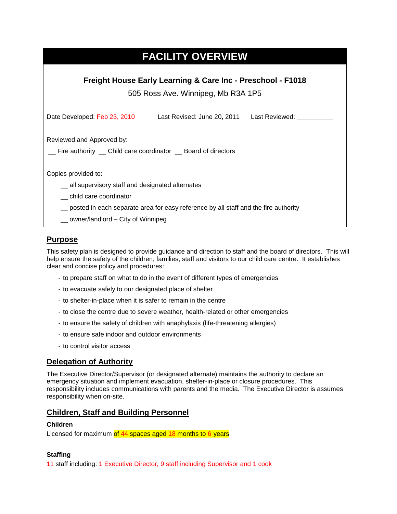## **FACILITY OVERVIEW**

**Freight House Early Learning & Care Inc - Preschool - F1018**

505 Ross Ave. Winnipeg, Mb R3A 1P5

| Date Developed: Feb 23, 2010                                                              | Last Revised: June 20, 2011 | Last Reviewed: |  |
|-------------------------------------------------------------------------------------------|-----------------------------|----------------|--|
| Reviewed and Approved by:<br>Fire authority _ Child care coordinator _ Board of directors |                             |                |  |
| Copies provided to:                                                                       |                             |                |  |
| _ all supervisory staff and designated alternates                                         |                             |                |  |
| child care coordinator                                                                    |                             |                |  |
| posted in each separate area for easy reference by all staff and the fire authority       |                             |                |  |
| $\_\_$ owner/landlord $\_\$ City of Winnipeg                                              |                             |                |  |

## **Purpose**

This safety plan is designed to provide guidance and direction to staff and the board of directors. This will help ensure the safety of the children, families, staff and visitors to our child care centre. It establishes clear and concise policy and procedures:

- to prepare staff on what to do in the event of different types of emergencies
- to evacuate safely to our designated place of shelter
- to shelter-in-place when it is safer to remain in the centre
- to close the centre due to severe weather, health-related or other emergencies
- to ensure the safety of children with anaphylaxis (life-threatening allergies)
- to ensure safe indoor and outdoor environments
- to control visitor access

## **Delegation of Authority**

The Executive Director/Supervisor (or designated alternate) maintains the authority to declare an emergency situation and implement evacuation, shelter-in-place or closure procedures. This responsibility includes communications with parents and the media. The Executive Director is assumes responsibility when on-site.

### **Children, Staff and Building Personnel**

#### **Children**

Licensed for maximum of 44 spaces aged 18 months to 6 years

#### **Staffing**

11 staff including: 1 Executive Director, 9 staff including Supervisor and 1 cook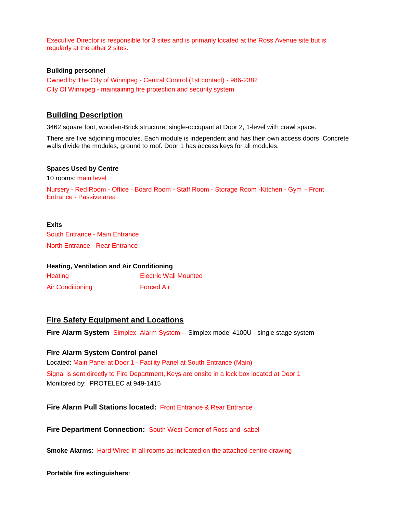Executive Director is responsible for 3 sites and is primarily located at the Ross Avenue site but is regularly at the other 2 sites.

#### **Building personnel**

Owned by The City of Winnipeg - Central Control (1st contact) - 986-2382 City Of Winnipeg - maintaining fire protection and security system

### **Building Description**

3462 square foot, wooden-Brick structure, single-occupant at Door 2, 1-level with crawl space.

There are five adjoining modules. Each module is independent and has their own access doors. Concrete walls divide the modules, ground to roof. Door 1 has access keys for all modules.

#### **Spaces Used by Centre**

10 rooms: main level

Nursery - Red Room - Office - Board Room - Staff Room - Storage Room -Kitchen - Gym – Front Entrance - Passive area

**Exits** South Entrance - Main Entrance North Entrance - Rear Entrance

| <b>Heating, Ventilation and Air Conditioning</b> |                              |  |
|--------------------------------------------------|------------------------------|--|
| Heating                                          | <b>Electric Wall Mounted</b> |  |
| <b>Air Conditioning</b>                          | <b>Forced Air</b>            |  |

#### **Fire Safety Equipment and Locations**

**Fire Alarm System** Simplex Alarm System -- Simplex model 4100U - single stage system

#### **Fire Alarm System Control panel**

Located: Main Panel at Door 1 - Facility Panel at South Entrance (Main) Signal is sent directly to Fire Department, Keys are onsite in a lock box located at Door 1 Monitored by: PROTELEC at 949-1415

**Fire Alarm Pull Stations located:** Front Entrance & Rear Entrance

**Fire Department Connection:** South West Corner of Ross and Isabel

**Smoke Alarms**: Hard Wired in all rooms as indicated on the attached centre drawing

**Portable fire extinguishers**: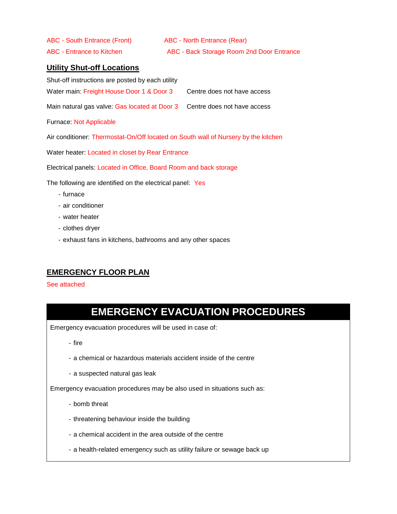ABC - South Entrance (Front) ABC - North Entrance (Rear)

ABC - Entrance to Kitchen ABC - Back Storage Room 2nd Door Entrance

## **Utility Shut-off Locations**

Shut-off instructions are posted by each utility Water main: Freight House Door 1 & Door 3 Centre does not have access Main natural gas valve: Gas located at Door 3 Centre does not have access Furnace: Not Applicable Air conditioner: Thermostat-On/Off located on South wall of Nursery by the kitchen Water heater: Located in closet by Rear Entrance Electrical panels: Located in Office, Board Room and back storage The following are identified on the electrical panel: Yes - furnace

- air conditioner
- water heater
- clothes dryer
- exhaust fans in kitchens, bathrooms and any other spaces

## **EMERGENCY FLOOR PLAN**

#### See attached

## **EMERGENCY EVACUATION PROCEDURES**

Emergency evacuation procedures will be used in case of:

- fire

- a chemical or hazardous materials accident inside of the centre
- a suspected natural gas leak

Emergency evacuation procedures may be also used in situations such as:

- bomb threat
- threatening behaviour inside the building
- a chemical accident in the area outside of the centre
- a health-related emergency such as utility failure or sewage back up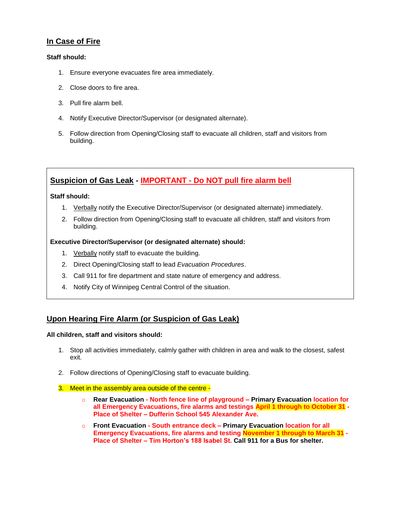### **In Case of Fire**

#### **Staff should:**

- 1. Ensure everyone evacuates fire area immediately.
- 2. Close doors to fire area.
- 3. Pull fire alarm bell.
- 4. Notify Executive Director/Supervisor (or designated alternate).
- 5. Follow direction from Opening/Closing staff to evacuate all children, staff and visitors from building.

## **Suspicion of Gas Leak - IMPORTANT - Do NOT pull fire alarm bell**

#### **Staff should:**

- 1. Verbally notify the Executive Director/Supervisor (or designated alternate) immediately.
- 2. Follow direction from Opening/Closing staff to evacuate all children, staff and visitors from building.

#### **Executive Director/Supervisor (or designated alternate) should:**

- 1. Verbally notify staff to evacuate the building.
- 2. Direct Opening/Closing staff to lead *Evacuation Procedures*.
- 3. Call 911 for fire department and state nature of emergency and address.
- 4. Notify City of Winnipeg Central Control of the situation.

## **Upon Hearing Fire Alarm (or Suspicion of Gas Leak)**

#### **All children, staff and visitors should:**

- 1. Stop all activities immediately, calmly gather with children in area and walk to the closest, safest exit.
- 2. Follow directions of Opening/Closing staff to evacuate building.
- 3. Meet in the assembly area outside of the centre
	- o **Rear Evacuation - North fence line of playground – Primary Evacuation location for all Emergency Evacuations, fire alarms and testings April 1 through to October 31 - Place of Shelter – Dufferin School 545 Alexander Ave.**
	- o **Front Evacuation - South entrance deck – Primary Evacuation location for all Emergency Evacuations, fire alarms and testing November 1 through to March 31 - Place of Shelter – Tim Horton's 188 Isabel St. Call 911 for a Bus for shelter.**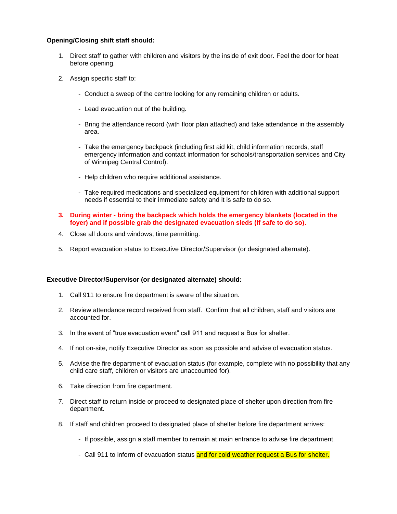#### **Opening/Closing shift staff should:**

- 1. Direct staff to gather with children and visitors by the inside of exit door. Feel the door for heat before opening.
- 2. Assign specific staff to:
	- Conduct a sweep of the centre looking for any remaining children or adults.
	- Lead evacuation out of the building.
	- Bring the attendance record (with floor plan attached) and take attendance in the assembly area.
	- Take the emergency backpack (including first aid kit, child information records, staff emergency information and contact information for schools/transportation services and City of Winnipeg Central Control).
	- Help children who require additional assistance.
	- Take required medications and specialized equipment for children with additional support needs if essential to their immediate safety and it is safe to do so.
- **3. During winter - bring the backpack which holds the emergency blankets (located in the foyer) and if possible grab the designated evacuation sleds (If safe to do so).**
- 4. Close all doors and windows, time permitting.
- 5. Report evacuation status to Executive Director/Supervisor (or designated alternate).

#### **Executive Director/Supervisor (or designated alternate) should:**

- 1. Call 911 to ensure fire department is aware of the situation.
- 2. Review attendance record received from staff. Confirm that all children, staff and visitors are accounted for.
- 3. In the event of "true evacuation event" call 911 and request a Bus for shelter.
- 4. If not on-site, notify Executive Director as soon as possible and advise of evacuation status.
- 5. Advise the fire department of evacuation status (for example, complete with no possibility that any child care staff, children or visitors are unaccounted for).
- 6. Take direction from fire department.
- 7. Direct staff to return inside or proceed to designated place of shelter upon direction from fire department.
- 8. If staff and children proceed to designated place of shelter before fire department arrives:
	- If possible, assign a staff member to remain at main entrance to advise fire department.
	- Call 911 to inform of evacuation status and for cold weather request a Bus for shelter.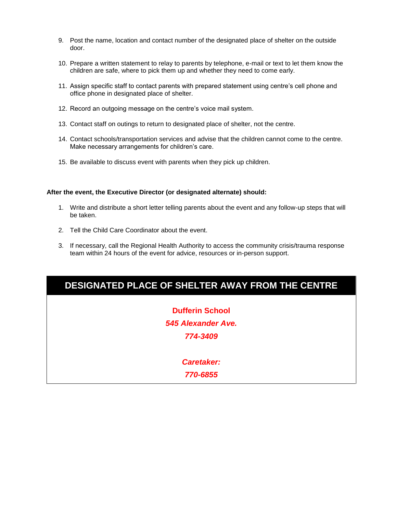- 9. Post the name, location and contact number of the designated place of shelter on the outside door.
- 10. Prepare a written statement to relay to parents by telephone, e-mail or text to let them know the children are safe, where to pick them up and whether they need to come early.
- 11. Assign specific staff to contact parents with prepared statement using centre's cell phone and office phone in designated place of shelter.
- 12. Record an outgoing message on the centre's voice mail system.
- 13. Contact staff on outings to return to designated place of shelter, not the centre.
- 14. Contact schools/transportation services and advise that the children cannot come to the centre. Make necessary arrangements for children's care.
- 15. Be available to discuss event with parents when they pick up children.

#### **After the event, the Executive Director (or designated alternate) should:**

- 1. Write and distribute a short letter telling parents about the event and any follow-up steps that will be taken.
- 2. Tell the Child Care Coordinator about the event.
- 3. If necessary, call the Regional Health Authority to access the community crisis/trauma response team within 24 hours of the event for advice, resources or in-person support.

**Dufferin School** *545 Alexander Ave. 774-3409*

> *Caretaker: 770-6855*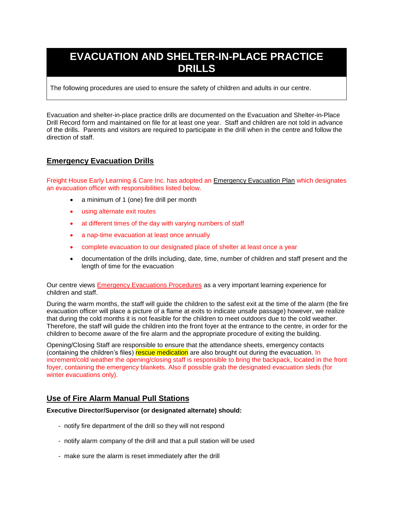## **EVACUATION AND SHELTER-IN-PLACE PRACTICE DRILLS**

The following procedures are used to ensure the safety of children and adults in our centre.

Evacuation and shelter-in-place practice drills are documented on the Evacuation and Shelter-in-Place Drill Record form and maintained on file for at least one year. Staff and children are not told in advance of the drills. Parents and visitors are required to participate in the drill when in the centre and follow the direction of staff.

## **Emergency Evacuation Drills**

Freight House Early Learning & Care Inc. has adopted an Emergency Evacuation Plan which designates an evacuation officer with responsibilities listed below.

- a minimum of 1 (one) fire drill per month
- using alternate exit routes
- at different times of the day with varying numbers of staff
- a nap-time evacuation at least once annually
- complete evacuation to our designated place of shelter at least once a year
- documentation of the drills including, date, time, number of children and staff present and the length of time for the evacuation

Our centre views **Emergency Evacuations Procedures** as a very important learning experience for children and staff.

During the warm months, the staff will guide the children to the safest exit at the time of the alarm (the fire evacuation officer will place a picture of a flame at exits to indicate unsafe passage) however, we realize that during the cold months it is not feasible for the children to meet outdoors due to the cold weather. Therefore, the staff will guide the children into the front foyer at the entrance to the centre, in order for the children to become aware of the fire alarm and the appropriate procedure of exiting the building.

Opening/Closing Staff are responsible to ensure that the attendance sheets, emergency contacts (containing the children's files) rescue medication are also brought out during the evacuation. In increment/cold weather the opening/closing staff is responsible to bring the backpack, located in the front foyer, containing the emergency blankets. Also if possible grab the designated evacuation sleds (for winter evacuations only).

### **Use of Fire Alarm Manual Pull Stations**

#### **Executive Director/Supervisor (or designated alternate) should:**

- notify fire department of the drill so they will not respond
- notify alarm company of the drill and that a pull station will be used
- make sure the alarm is reset immediately after the drill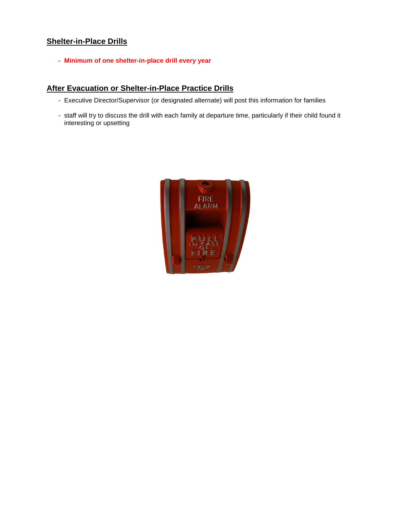## **Shelter-in-Place Drills**

**- Minimum of one shelter-in-place drill every year**

## **After Evacuation or Shelter-in-Place Practice Drills**

- Executive Director/Supervisor (or designated alternate) will post this information for families
- staff will try to discuss the drill with each family at departure time, particularly if their child found it interesting or upsetting

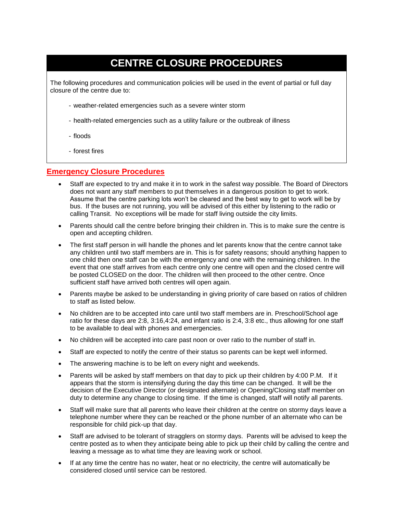## **CENTRE CLOSURE PROCEDURES**

The following procedures and communication policies will be used in the event of partial or full day closure of the centre due to:

- weather-related emergencies such as a severe winter storm
- health-related emergencies such as a utility failure or the outbreak of illness
- floods
- forest fires

#### **Emergency Closure Procedures**

- Staff are expected to try and make it in to work in the safest way possible. The Board of Directors does not want any staff members to put themselves in a dangerous position to get to work. Assume that the centre parking lots won't be cleared and the best way to get to work will be by bus. If the buses are not running, you will be advised of this either by listening to the radio or calling Transit. No exceptions will be made for staff living outside the city limits.
- Parents should call the centre before bringing their children in. This is to make sure the centre is open and accepting children.
- The first staff person in will handle the phones and let parents know that the centre cannot take any children until two staff members are in. This is for safety reasons; should anything happen to one child then one staff can be with the emergency and one with the remaining children. In the event that one staff arrives from each centre only one centre will open and the closed centre will be posted CLOSED on the door. The children will then proceed to the other centre. Once sufficient staff have arrived both centres will open again.
- Parents maybe be asked to be understanding in giving priority of care based on ratios of children to staff as listed below.
- No children are to be accepted into care until two staff members are in. Preschool/School age ratio for these days are 2:8, 3:16,4:24, and infant ratio is 2:4, 3:8 etc., thus allowing for one staff to be available to deal with phones and emergencies.
- No children will be accepted into care past noon or over ratio to the number of staff in.
- Staff are expected to notify the centre of their status so parents can be kept well informed.
- The answering machine is to be left on every night and weekends.
- Parents will be asked by staff members on that day to pick up their children by 4:00 P.M. If it appears that the storm is intensifying during the day this time can be changed. It will be the decision of the Executive Director (or designated alternate) or Opening/Closing staff member on duty to determine any change to closing time. If the time is changed, staff will notify all parents.
- Staff will make sure that all parents who leave their children at the centre on stormy days leave a telephone number where they can be reached or the phone number of an alternate who can be responsible for child pick-up that day.
- Staff are advised to be tolerant of stragglers on stormy days. Parents will be advised to keep the centre posted as to when they anticipate being able to pick up their child by calling the centre and leaving a message as to what time they are leaving work or school.
- If at any time the centre has no water, heat or no electricity, the centre will automatically be considered closed until service can be restored.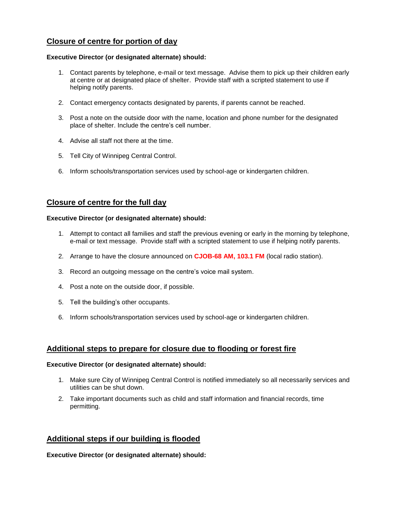### **Closure of centre for portion of day**

#### **Executive Director (or designated alternate) should:**

- 1. Contact parents by telephone, e-mail or text message. Advise them to pick up their children early at centre or at designated place of shelter. Provide staff with a scripted statement to use if helping notify parents.
- 2. Contact emergency contacts designated by parents, if parents cannot be reached.
- 3. Post a note on the outside door with the name, location and phone number for the designated place of shelter. Include the centre's cell number.
- 4. Advise all staff not there at the time.
- 5. Tell City of Winnipeg Central Control.
- 6. Inform schools/transportation services used by school-age or kindergarten children.

### **Closure of centre for the full day**

#### **Executive Director (or designated alternate) should:**

- 1. Attempt to contact all families and staff the previous evening or early in the morning by telephone, e-mail or text message. Provide staff with a scripted statement to use if helping notify parents.
- 2. Arrange to have the closure announced on **CJOB-68 AM, 103.1 FM** (local radio station).
- 3. Record an outgoing message on the centre's voice mail system.
- 4. Post a note on the outside door, if possible.
- 5. Tell the building's other occupants.
- 6. Inform schools/transportation services used by school-age or kindergarten children.

### **Additional steps to prepare for closure due to flooding or forest fire**

#### **Executive Director (or designated alternate) should:**

- 1. Make sure City of Winnipeg Central Control is notified immediately so all necessarily services and utilities can be shut down.
- 2. Take important documents such as child and staff information and financial records, time permitting.

## **Additional steps if our building is flooded**

**Executive Director (or designated alternate) should:**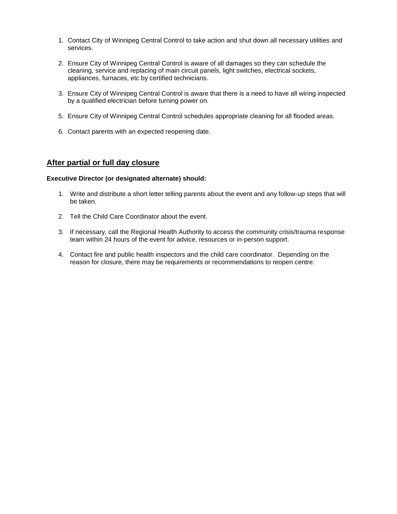- 1. Contact City of Winnipeg Central Control to take action and shut down all necessary utilities and services.
- 2. Ensure City of Winnipeg Central Control is aware of all damages so they can schedule the cleaning, service and replacing of main circuit panels, light switches, electrical sockets, appliances, furnaces, etc by certified technicians.
- 3. Ensure City of Winnipeg Central Control is aware that there is a need to have all wiring inspected by a qualified electrician before turning power on.
- 5. Ensure City of Winnipeg Central Control schedules appropriate cleaning for all flooded areas.
- 6. Contact parents with an expected reopening date.

### **After partial or full day closure**

#### **Executive Director (or designated alternate) should:**

- 1. Write and distribute a short letter telling parents about the event and any follow-up steps that will be taken.
- 2. Tell the Child Care Coordinator about the event.
- 3. If necessary, call the Regional Health Authority to access the community crisis/trauma response team within 24 hours of the event for advice, resources or in-person support.
- 4. Contact fire and public health inspectors and the child care coordinator. Depending on the reason for closure, there may be requirements or recommendations to reopen centre.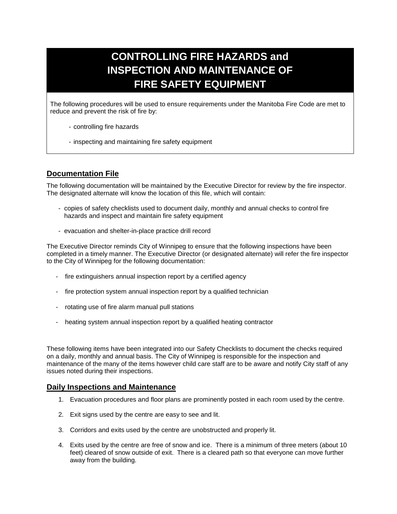## **CONTROLLING FIRE HAZARDS and INSPECTION AND MAINTENANCE OF FIRE SAFETY EQUIPMENT**

The following procedures will be used to ensure requirements under the Manitoba Fire Code are met to reduce and prevent the risk of fire by:

- controlling fire hazards
- inspecting and maintaining fire safety equipment

## **Documentation File**

The following documentation will be maintained by the Executive Director for review by the fire inspector. The designated alternate will know the location of this file, which will contain:

- copies of safety checklists used to document daily, monthly and annual checks to control fire hazards and inspect and maintain fire safety equipment
- evacuation and shelter-in-place practice drill record

The Executive Director reminds City of Winnipeg to ensure that the following inspections have been completed in a timely manner. The Executive Director (or designated alternate) will refer the fire inspector to the City of Winnipeg for the following documentation:

- fire extinguishers annual inspection report by a certified agency
- fire protection system annual inspection report by a qualified technician
- rotating use of fire alarm manual pull stations
- heating system annual inspection report by a qualified heating contractor

These following items have been integrated into our Safety Checklists to document the checks required on a daily, monthly and annual basis. The City of Winnipeg is responsible for the inspection and maintenance of the many of the items however child care staff are to be aware and notify City staff of any issues noted during their inspections.

### **Daily Inspections and Maintenance**

- 1. Evacuation procedures and floor plans are prominently posted in each room used by the centre.
- 2. Exit signs used by the centre are easy to see and lit.
- 3. Corridors and exits used by the centre are unobstructed and properly lit.
- 4. Exits used by the centre are free of snow and ice. There is a minimum of three meters (about 10 feet) cleared of snow outside of exit. There is a cleared path so that everyone can move further away from the building.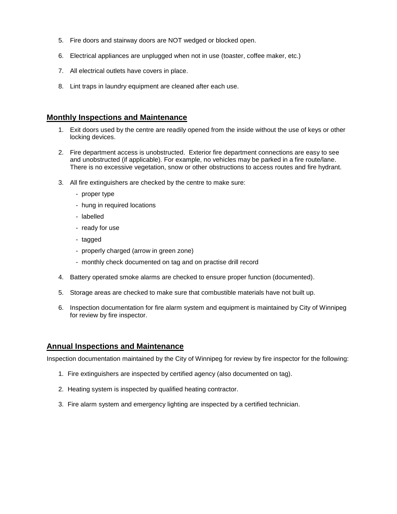- 5. Fire doors and stairway doors are NOT wedged or blocked open.
- 6. Electrical appliances are unplugged when not in use (toaster, coffee maker, etc.)
- 7. All electrical outlets have covers in place.
- 8. Lint traps in laundry equipment are cleaned after each use.

### **Monthly Inspections and Maintenance**

- 1. Exit doors used by the centre are readily opened from the inside without the use of keys or other locking devices.
- 2. Fire department access is unobstructed. Exterior fire department connections are easy to see and unobstructed (if applicable). For example, no vehicles may be parked in a fire route/lane. There is no excessive vegetation, snow or other obstructions to access routes and fire hydrant.
- 3. All fire extinguishers are checked by the centre to make sure:
	- proper type
	- hung in required locations
	- labelled
	- ready for use
	- tagged
	- properly charged (arrow in green zone)
	- monthly check documented on tag and on practise drill record
- 4. Battery operated smoke alarms are checked to ensure proper function (documented).
- 5. Storage areas are checked to make sure that combustible materials have not built up.
- 6. Inspection documentation for fire alarm system and equipment is maintained by City of Winnipeg for review by fire inspector.

#### **Annual Inspections and Maintenance**

Inspection documentation maintained by the City of Winnipeg for review by fire inspector for the following:

- 1. Fire extinguishers are inspected by certified agency (also documented on tag).
- 2. Heating system is inspected by qualified heating contractor.
- 3. Fire alarm system and emergency lighting are inspected by a certified technician.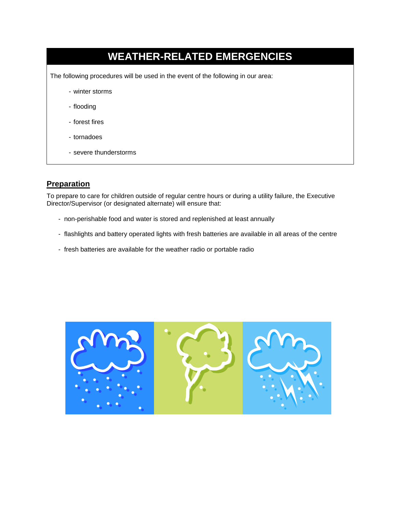# **WEATHER-RELATED EMERGENCIES** The following procedures will be used in the event of the following in our area: - winter storms - flooding - forest fires - tornadoes - severe thunderstorms

## **Preparation**

To prepare to care for children outside of regular centre hours or during a utility failure, the Executive Director/Supervisor (or designated alternate) will ensure that:

- non-perishable food and water is stored and replenished at least annually
- flashlights and battery operated lights with fresh batteries are available in all areas of the centre
- fresh batteries are available for the weather radio or portable radio

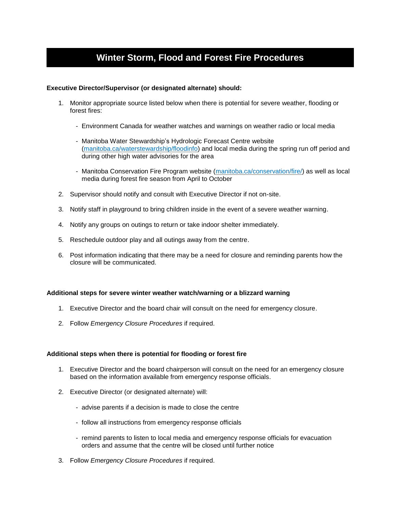## **Winter Storm, Flood and Forest Fire Procedures**

#### **Executive Director/Supervisor (or designated alternate) should:**

- 1. Monitor appropriate source listed below when there is potential for severe weather, flooding or forest fires:
	- Environment Canada for weather watches and warnings on weather radio or local media
	- Manitoba Water Stewardship's Hydrologic Forecast Centre website [\(manitoba.ca/waterstewardship/floodinfo\)](http://www.gov.mb.ca/waterstewardship/floodinfo) and local media during the spring run off period and during other high water advisories for the area
	- Manitoba Conservation Fire Program website [\(manitoba.ca/conservation/fire/\)](http://www.gov.mb.ca/conservation/fire/) as well as local media during forest fire season from April to October
- 2. Supervisor should notify and consult with Executive Director if not on-site.
- 3. Notify staff in playground to bring children inside in the event of a severe weather warning.
- 4. Notify any groups on outings to return or take indoor shelter immediately.
- 5. Reschedule outdoor play and all outings away from the centre.
- 6. Post information indicating that there may be a need for closure and reminding parents how the closure will be communicated.

#### **Additional steps for severe winter weather watch/warning or a blizzard warning**

- 1. Executive Director and the board chair will consult on the need for emergency closure.
- 2. Follow *Emergency Closure Procedures* if required.

#### **Additional steps when there is potential for flooding or forest fire**

- 1. Executive Director and the board chairperson will consult on the need for an emergency closure based on the information available from emergency response officials.
- 2. Executive Director (or designated alternate) will:
	- advise parents if a decision is made to close the centre
	- follow all instructions from emergency response officials
	- remind parents to listen to local media and emergency response officials for evacuation orders and assume that the centre will be closed until further notice
- 3. Follow *Emergency Closure Procedures* if required.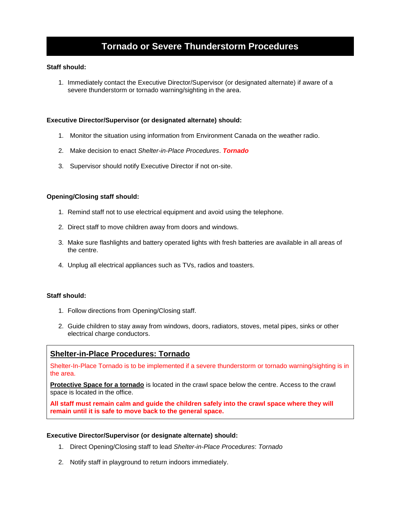## **Tornado or Severe Thunderstorm Procedures**

#### **Staff should:**

1. Immediately contact the Executive Director/Supervisor (or designated alternate) if aware of a severe thunderstorm or tornado warning/sighting in the area.

#### **Executive Director/Supervisor (or designated alternate) should:**

- 1. Monitor the situation using information from Environment Canada on the weather radio.
- 2. Make decision to enact *Shelter-in-Place Procedures*. *Tornado*
- 3. Supervisor should notify Executive Director if not on-site.

#### **Opening/Closing staff should:**

- 1. Remind staff not to use electrical equipment and avoid using the telephone.
- 2. Direct staff to move children away from doors and windows.
- 3. Make sure flashlights and battery operated lights with fresh batteries are available in all areas of the centre.
- 4. Unplug all electrical appliances such as TVs, radios and toasters.

#### **Staff should:**

- 1. Follow directions from Opening/Closing staff.
- 2. Guide children to stay away from windows, doors, radiators, stoves, metal pipes, sinks or other electrical charge conductors.

#### **Shelter-in-Place Procedures: Tornado**

Shelter-In-Place Tornado is to be implemented if a severe thunderstorm or tornado warning/sighting is in the area.

**Protective Space for a tornado** is located in the crawl space below the centre. Access to the crawl space is located in the office.

**All staff must remain calm and guide the children safely into the crawl space where they will remain until it is safe to move back to the general space.**

#### **Executive Director/Supervisor (or designate alternate) should:**

- 1. Direct Opening/Closing staff to lead *Shelter-in-Place Procedures*: *Tornado*
- 2. Notify staff in playground to return indoors immediately.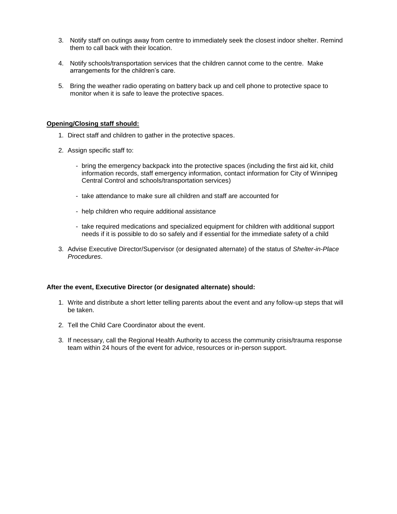- 3. Notify staff on outings away from centre to immediately seek the closest indoor shelter. Remind them to call back with their location.
- 4. Notify schools/transportation services that the children cannot come to the centre. Make arrangements for the children's care.
- 5. Bring the weather radio operating on battery back up and cell phone to protective space to monitor when it is safe to leave the protective spaces.

#### **Opening/Closing staff should:**

- 1. Direct staff and children to gather in the protective spaces.
- 2. Assign specific staff to:
	- bring the emergency backpack into the protective spaces (including the first aid kit, child information records, staff emergency information, contact information for City of Winnipeg Central Control and schools/transportation services)
	- take attendance to make sure all children and staff are accounted for
	- help children who require additional assistance
	- take required medications and specialized equipment for children with additional support needs if it is possible to do so safely and if essential for the immediate safety of a child
- 3. Advise Executive Director/Supervisor (or designated alternate) of the status of *Shelter-in-Place Procedures*.

#### **After the event, Executive Director (or designated alternate) should:**

- 1. Write and distribute a short letter telling parents about the event and any follow-up steps that will be taken.
- 2. Tell the Child Care Coordinator about the event.
- 3. If necessary, call the Regional Health Authority to access the community crisis/trauma response team within 24 hours of the event for advice, resources or in-person support.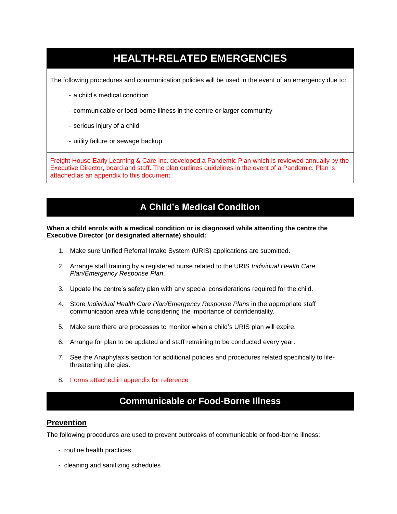## **HEALTH-RELATED EMERGENCIES**

The following procedures and communication policies will be used in the event of an emergency due to:

- a child's medical condition
- communicable or food-borne illness in the centre or larger community
- serious injury of a child
- utility failure or sewage backup

Freight House Early Learning & Care Inc. developed a Pandemic Plan which is reviewed annually by the Executive Director, board and staff. The plan outlines guidelines in the event of a Pandemic: Plan is attached as an appendix to this document.

## **A Child's Medical Condition**

#### **When a child enrols with a medical condition or is diagnosed while attending the centre the Executive Director (or designated alternate) should:**

- 1. Make sure Unified Referral Intake System (URIS) applications are submitted.
- 2. Arrange staff training by a registered nurse related to the URIS *Individual Health Care Plan/Emergency Response Plan*.
- 3. Update the centre's safety plan with any special considerations required for the child.
- 4. Store *Individual Health Care Plan/Emergency Response Plans* in the appropriate staff communication area while considering the importance of confidentiality.
- 5. Make sure there are processes to monitor when a child's URIS plan will expire.
- 6. Arrange for plan to be updated and staff retraining to be conducted every year.
- 7. See the Anaphylaxis section for additional policies and procedures related specifically to lifethreatening allergies.
- 8. Forms attached in appendix for reference

## **Communicable or Food-Borne Illness**

#### **Prevention**

The following procedures are used to prevent outbreaks of communicable or food-borne illness:

- routine health practices
- cleaning and sanitizing schedules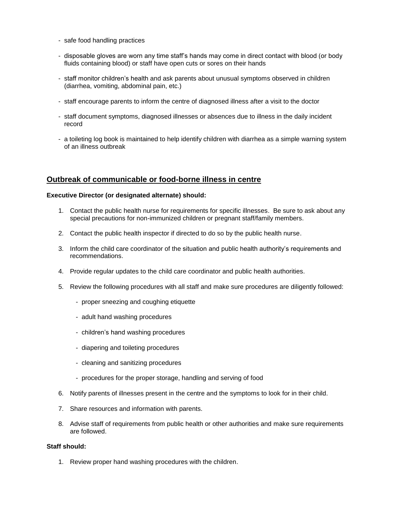- safe food handling practices
- disposable gloves are worn any time staff's hands may come in direct contact with blood (or body fluids containing blood) or staff have open cuts or sores on their hands
- staff monitor children's health and ask parents about unusual symptoms observed in children (diarrhea, vomiting, abdominal pain, etc.)
- staff encourage parents to inform the centre of diagnosed illness after a visit to the doctor
- staff document symptoms, diagnosed illnesses or absences due to illness in the daily incident record
- a toileting log book is maintained to help identify children with diarrhea as a simple warning system of an illness outbreak

### **Outbreak of communicable or food-borne illness in centre**

#### **Executive Director (or designated alternate) should:**

- 1. Contact the public health nurse for requirements for specific illnesses. Be sure to ask about any special precautions for non-immunized children or pregnant staff/family members.
- 2. Contact the public health inspector if directed to do so by the public health nurse.
- 3. Inform the child care coordinator of the situation and public health authority's requirements and recommendations.
- 4. Provide regular updates to the child care coordinator and public health authorities.
- 5. Review the following procedures with all staff and make sure procedures are diligently followed:
	- proper sneezing and coughing etiquette
	- adult hand washing procedures
	- children's hand washing procedures
	- diapering and toileting procedures
	- cleaning and sanitizing procedures
	- procedures for the proper storage, handling and serving of food
- 6. Notify parents of illnesses present in the centre and the symptoms to look for in their child.
- 7. Share resources and information with parents.
- 8. Advise staff of requirements from public health or other authorities and make sure requirements are followed.

#### **Staff should:**

1. Review proper hand washing procedures with the children.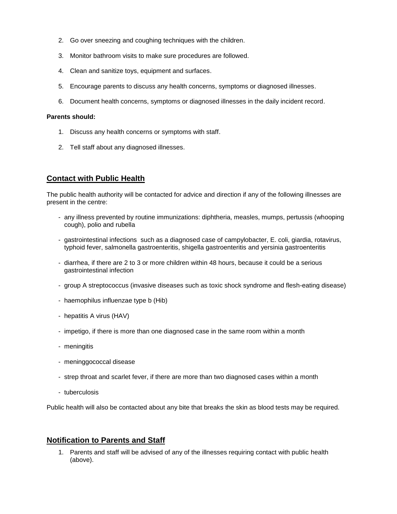- 2. Go over sneezing and coughing techniques with the children.
- 3. Monitor bathroom visits to make sure procedures are followed.
- 4. Clean and sanitize toys, equipment and surfaces.
- 5. Encourage parents to discuss any health concerns, symptoms or diagnosed illnesses.
- 6. Document health concerns, symptoms or diagnosed illnesses in the daily incident record.

#### **Parents should:**

- 1. Discuss any health concerns or symptoms with staff.
- 2. Tell staff about any diagnosed illnesses.

### **Contact with Public Health**

The public health authority will be contacted for advice and direction if any of the following illnesses are present in the centre:

- any illness prevented by routine immunizations: diphtheria, measles, mumps, pertussis (whooping cough), polio and rubella
- gastrointestinal infections such as a diagnosed case of campylobacter, E. coli, giardia, rotavirus, typhoid fever, salmonella gastroenteritis, shigella gastroenteritis and yersinia gastroenteritis
- diarrhea, if there are 2 to 3 or more children within 48 hours, because it could be a serious gastrointestinal infection
- group A streptococcus (invasive diseases such as toxic shock syndrome and flesh-eating disease)
- haemophilus influenzae type b (Hib)
- hepatitis A virus (HAV)
- impetigo, if there is more than one diagnosed case in the same room within a month
- meningitis
- meninggococcal disease
- strep throat and scarlet fever, if there are more than two diagnosed cases within a month
- tuberculosis

Public health will also be contacted about any bite that breaks the skin as blood tests may be required.

## **Notification to Parents and Staff**

1. Parents and staff will be advised of any of the illnesses requiring contact with public health (above).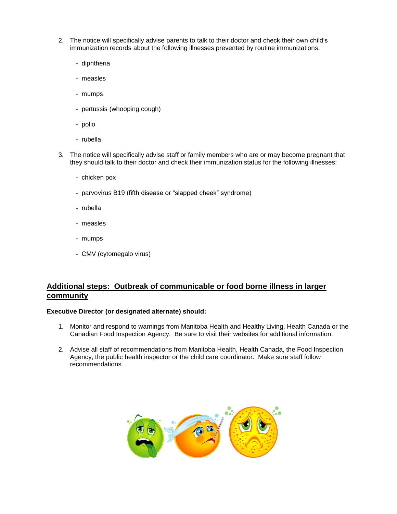- 2. The notice will specifically advise parents to talk to their doctor and check their own child's immunization records about the following illnesses prevented by routine immunizations:
	- diphtheria
	- measles
	- mumps
	- pertussis (whooping cough)
	- polio
	- rubella
- 3. The notice will specifically advise staff or family members who are or may become pregnant that they should talk to their doctor and check their immunization status for the following illnesses:
	- chicken pox
	- parvovirus B19 (fifth disease or "slapped cheek" syndrome)
	- rubella
	- measles
	- mumps
	- CMV (cytomegalo virus)

## **Additional steps: Outbreak of communicable or food borne illness in larger community**

#### **Executive Director (or designated alternate) should:**

- 1. Monitor and respond to warnings from Manitoba Health and Healthy Living, Health Canada or the Canadian Food Inspection Agency. Be sure to visit their websites for additional information.
- 2. Advise all staff of recommendations from Manitoba Health, Health Canada, the Food Inspection Agency, the public health inspector or the child care coordinator. Make sure staff follow recommendations.

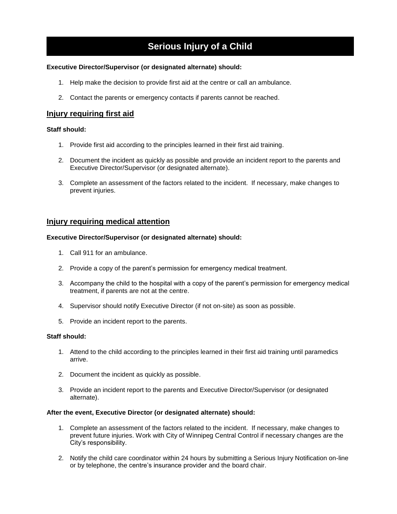## **Serious Injury of a Child**

#### **Executive Director/Supervisor (or designated alternate) should:**

- 1. Help make the decision to provide first aid at the centre or call an ambulance.
- 2. Contact the parents or emergency contacts if parents cannot be reached.

### **Injury requiring first aid**

#### **Staff should:**

- 1. Provide first aid according to the principles learned in their first aid training.
- 2. Document the incident as quickly as possible and provide an incident report to the parents and Executive Director/Supervisor (or designated alternate).
- 3. Complete an assessment of the factors related to the incident. If necessary, make changes to prevent injuries.

#### **Injury requiring medical attention**

#### **Executive Director/Supervisor (or designated alternate) should:**

- 1. Call 911 for an ambulance.
- 2. Provide a copy of the parent's permission for emergency medical treatment.
- 3. Accompany the child to the hospital with a copy of the parent's permission for emergency medical treatment, if parents are not at the centre.
- 4. Supervisor should notify Executive Director (if not on-site) as soon as possible.
- 5. Provide an incident report to the parents.

#### **Staff should:**

- 1. Attend to the child according to the principles learned in their first aid training until paramedics arrive.
- 2. Document the incident as quickly as possible.
- 3. Provide an incident report to the parents and Executive Director/Supervisor (or designated alternate).

#### **After the event, Executive Director (or designated alternate) should:**

- 1. Complete an assessment of the factors related to the incident. If necessary, make changes to prevent future injuries. Work with City of Winnipeg Central Control if necessary changes are the City's responsibility.
- 2. Notify the child care coordinator within 24 hours by submitting a Serious Injury Notification on-line or by telephone, the centre's insurance provider and the board chair.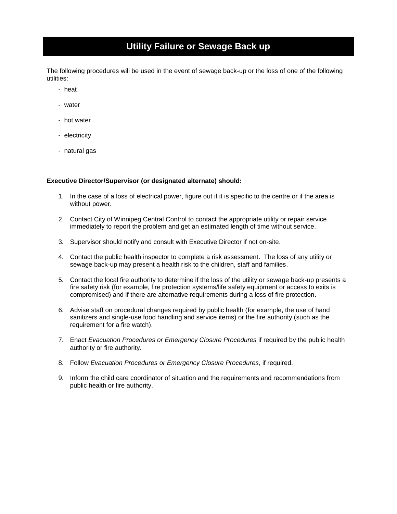## **Utility Failure or Sewage Back up**

The following procedures will be used in the event of sewage back-up or the loss of one of the following utilities:

- heat
- water
- hot water
- electricity
- natural gas

#### **Executive Director/Supervisor (or designated alternate) should:**

- 1. In the case of a loss of electrical power, figure out if it is specific to the centre or if the area is without power.
- 2. Contact City of Winnipeg Central Control to contact the appropriate utility or repair service immediately to report the problem and get an estimated length of time without service.
- 3. Supervisor should notify and consult with Executive Director if not on-site.
- 4. Contact the public health inspector to complete a risk assessment. The loss of any utility or sewage back-up may present a health risk to the children, staff and families.
- 5. Contact the local fire authority to determine if the loss of the utility or sewage back-up presents a fire safety risk (for example, fire protection systems/life safety equipment or access to exits is compromised) and if there are alternative requirements during a loss of fire protection.
- 6. Advise staff on procedural changes required by public health (for example, the use of hand sanitizers and single-use food handling and service items) or the fire authority (such as the requirement for a fire watch).
- 7. Enact *Evacuation Procedures or Emergency Closure Procedures* if required by the public health authority or fire authority.
- 8. Follow *Evacuation Procedures or Emergency Closure Procedures*, if required.
- 9. Inform the child care coordinator of situation and the requirements and recommendations from public health or fire authority.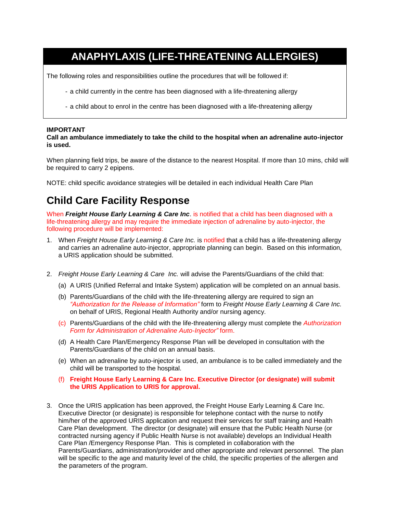## **ANAPHYLAXIS (LIFE-THREATENING ALLERGIES)**

The following roles and responsibilities outline the procedures that will be followed if:

- a child currently in the centre has been diagnosed with a life-threatening allergy
- a child about to enrol in the centre has been diagnosed with a life-threatening allergy

#### **IMPORTANT**

**Call an ambulance immediately to take the child to the hospital when an adrenaline auto-injector is used.**

When planning field trips, be aware of the distance to the nearest Hospital. If more than 10 mins, child will be required to carry 2 epipens.

NOTE: child specific avoidance strategies will be detailed in each individual Health Care Plan

## **Child Care Facility Response**

When *Freight House Early Learning & Care Inc*. is notified that a child has been diagnosed with a life-threatening allergy and may require the immediate injection of adrenaline by auto-injector, the following procedure will be implemented:

- 1. When *Freight House Early Learning & Care Inc.* is notified that a child has a life-threatening allergy and carries an adrenaline auto-injector, appropriate planning can begin. Based on this information, a URIS application should be submitted.
- 2. *Freight House Early Learning & Care Inc.* will advise the Parents/Guardians of the child that:
	- (a) A URIS (Unified Referral and Intake System) application will be completed on an annual basis.
	- (b) Parents/Guardians of the child with the life-threatening allergy are required to sign an *"Authorization for the Release of Information"* form to *Freight House Early Learning & Care Inc.*  on behalf of URIS, Regional Health Authority and/or nursing agency.
	- (c) Parents/Guardians of the child with the life-threatening allergy must complete the *Authorization Form for Administration of Adrenaline Auto-Injector"* form.
	- (d) A Health Care Plan/Emergency Response Plan will be developed in consultation with the Parents/Guardians of the child on an annual basis.
	- (e) When an adrenaline by auto-injector is used, an ambulance is to be called immediately and the child will be transported to the hospital.
	- (f) **Freight House Early Learning & Care Inc. Executive Director (or designate) will submit the URIS Application to URIS for approval.**
- 3. Once the URIS application has been approved, the Freight House Early Learning & Care Inc. Executive Director (or designate) is responsible for telephone contact with the nurse to notify him/her of the approved URIS application and request their services for staff training and Health Care Plan development. The director (or designate) will ensure that the Public Health Nurse (or contracted nursing agency if Public Health Nurse is not available) develops an Individual Health Care Plan /Emergency Response Plan. This is completed in collaboration with the Parents/Guardians, administration/provider and other appropriate and relevant personnel. The plan will be specific to the age and maturity level of the child, the specific properties of the allergen and the parameters of the program.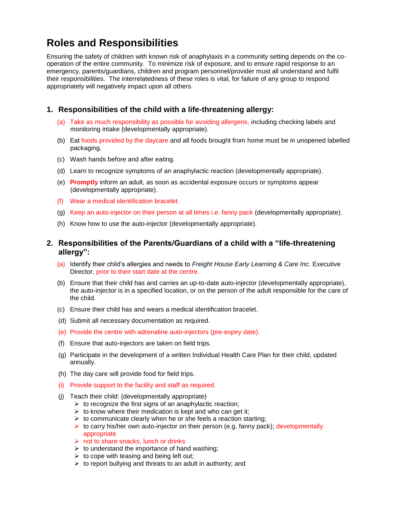## **Roles and Responsibilities**

Ensuring the safety of children with known risk of anaphylaxis in a community setting depends on the cooperation of the entire community. To minimize risk of exposure, and to ensure rapid response to an emergency, parents/guardians, children and program personnel/provider must all understand and fulfil their responsibilities. The interrelatedness of these roles is vital, for failure of any group to respond appropriately will negatively impact upon all others.

## **1. Responsibilities of the child with a life-threatening allergy:**

- (a) Take as much responsibility as possible for avoiding allergens, including checking labels and monitoring intake (developmentally appropriate).
- (b) Eat foods provided by the daycare and all foods brought from home must be in unopened labelled packaging.
- (c) Wash hands before and after eating.
- (d) Learn to recognize symptoms of an anaphylactic reaction (developmentally appropriate).
- (e) **Promptly** inform an adult, as soon as accidental exposure occurs or symptoms appear (developmentally appropriate).
- (f) Wear a medical identification bracelet.
- (g) Keep an auto-injector on their person at all times i.e. fanny pack (developmentally appropriate).
- (h) Know how to use the auto-injector (developmentally appropriate).

### **2. Responsibilities of the Parents/Guardians of a child with a "life-threatening allergy":**

- (a) Identify their child's allergies and needs to *Freight House Early Learning & Care Inc.* Executive Director, prior to their start date at the centre.
- (b) Ensure that their child has and carries an up-to-date auto-injector (developmentally appropriate), the auto-injector is in a specified location, or on the person of the adult responsible for the care of the child.
- (c) Ensure their child has and wears a medical identification bracelet.
- (d) Submit all necessary documentation as required.
- (e) Provide the centre with adrenaline auto-injectors (pre-expiry date).
- (f) Ensure that auto-injectors are taken on field trips.
- (g) Participate in the development of a written Individual Health Care Plan for their child, updated annually.
- (h) The day care will provide food for field trips.
- (i) Provide support to the facility and staff as required.
- (j) Teach their child: (developmentally appropriate)
	- $\triangleright$  to recognize the first signs of an anaphylactic reaction;
	- $\triangleright$  to know where their medication is kept and who can get it;
	- $\triangleright$  to communicate clearly when he or she feels a reaction starting;
	- $\triangleright$  to carry his/her own auto-injector on their person (e.g. fanny pack); developmentally appropriate
	- $\triangleright$  not to share snacks, lunch or drinks
	- $\triangleright$  to understand the importance of hand washing;
	- $\triangleright$  to cope with teasing and being left out;
	- $\triangleright$  to report bullying and threats to an adult in authority; and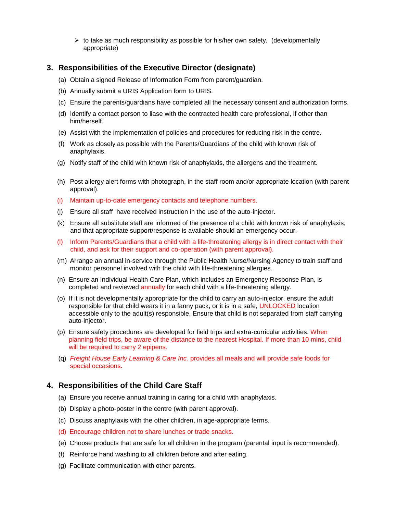$\triangleright$  to take as much responsibility as possible for his/her own safety. (developmentally appropriate)

### **3. Responsibilities of the Executive Director (designate)**

- (a) Obtain a signed Release of Information Form from parent/guardian.
- (b) Annually submit a URIS Application form to URIS.
- (c) Ensure the parents/guardians have completed all the necessary consent and authorization forms.
- (d) Identify a contact person to liase with the contracted health care professional, if other than him/herself.
- (e) Assist with the implementation of policies and procedures for reducing risk in the centre.
- (f) Work as closely as possible with the Parents/Guardians of the child with known risk of anaphylaxis.
- (g) Notify staff of the child with known risk of anaphylaxis, the allergens and the treatment.
- (h) Post allergy alert forms with photograph, in the staff room and/or appropriate location (with parent approval).
- (i) Maintain up-to-date emergency contacts and telephone numbers.
- (j) Ensure all staff have received instruction in the use of the auto-injector.
- (k) Ensure all substitute staff are informed of the presence of a child with known risk of anaphylaxis, and that appropriate support/response is available should an emergency occur.
- (l) Inform Parents/Guardians that a child with a life-threatening allergy is in direct contact with their child, and ask for their support and co-operation (with parent approval).
- (m) Arrange an annual in-service through the Public Health Nurse/Nursing Agency to train staff and monitor personnel involved with the child with life-threatening allergies.
- (n) Ensure an Individual Health Care Plan, which includes an Emergency Response Plan, is completed and reviewed annually for each child with a life-threatening allergy.
- (o) If it is not developmentally appropriate for the child to carry an auto-injector, ensure the adult responsible for that child wears it in a fanny pack, or it is in a safe, UNLOCKED location accessible only to the adult(s) responsible. Ensure that child is not separated from staff carrying auto-injector.
- (p) Ensure safety procedures are developed for field trips and extra-curricular activities. When planning field trips, be aware of the distance to the nearest Hospital. If more than 10 mins, child will be required to carry 2 epipens.
- (q) *Freight House Early Learning & Care Inc.* provides all meals and will provide safe foods for special occasions.

## **4. Responsibilities of the Child Care Staff**

- (a) Ensure you receive annual training in caring for a child with anaphylaxis.
- (b) Display a photo-poster in the centre (with parent approval).
- (c) Discuss anaphylaxis with the other children, in age-appropriate terms.
- (d) Encourage children not to share lunches or trade snacks.
- (e) Choose products that are safe for all children in the program (parental input is recommended).
- (f) Reinforce hand washing to all children before and after eating.
- (g) Facilitate communication with other parents.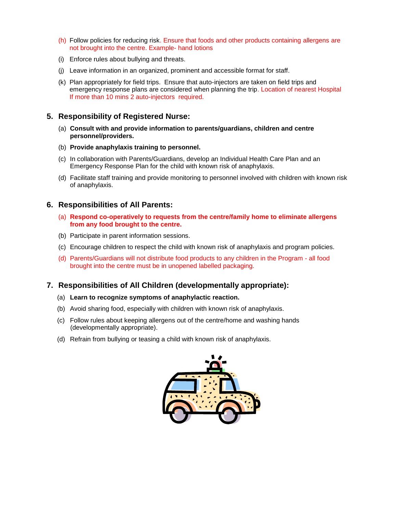- (h) Follow policies for reducing risk. Ensure that foods and other products containing allergens are not brought into the centre. Example- hand lotions
- (i) Enforce rules about bullying and threats.
- (j) Leave information in an organized, prominent and accessible format for staff.
- (k) Plan appropriately for field trips. Ensure that auto-injectors are taken on field trips and emergency response plans are considered when planning the trip. Location of nearest Hospital If more than 10 mins 2 auto-injectors required.

### **5. Responsibility of Registered Nurse:**

- (a) **Consult with and provide information to parents/guardians, children and centre personnel/providers.**
- (b) **Provide anaphylaxis training to personnel.**
- (c) In collaboration with Parents/Guardians, develop an Individual Health Care Plan and an Emergency Response Plan for the child with known risk of anaphylaxis.
- (d) Facilitate staff training and provide monitoring to personnel involved with children with known risk of anaphylaxis.

### **6. Responsibilities of All Parents:**

- (a) **Respond co-operatively to requests from the centre/family home to eliminate allergens from any food brought to the centre.**
- (b) Participate in parent information sessions.
- (c) Encourage children to respect the child with known risk of anaphylaxis and program policies.
- (d) Parents/Guardians will not distribute food products to any children in the Program all food brought into the centre must be in unopened labelled packaging.

### **7. Responsibilities of All Children (developmentally appropriate):**

- (a) **Learn to recognize symptoms of anaphylactic reaction.**
- (b) Avoid sharing food, especially with children with known risk of anaphylaxis.
- (c) Follow rules about keeping allergens out of the centre/home and washing hands (developmentally appropriate).
- (d) Refrain from bullying or teasing a child with known risk of anaphylaxis.

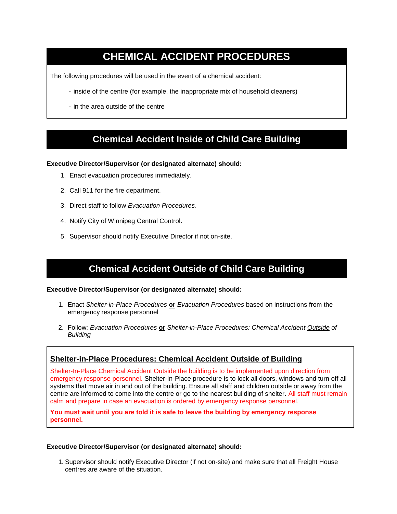## **CHEMICAL ACCIDENT PROCEDURES**

The following procedures will be used in the event of a chemical accident:

- inside of the centre (for example, the inappropriate mix of household cleaners)
- in the area outside of the centre

## **Chemical Accident Inside of Child Care Building**

#### **Executive Director/Supervisor (or designated alternate) should:**

- 1. Enact evacuation procedures immediately.
- 2. Call 911 for the fire department.
- 3. Direct staff to follow *Evacuation Procedures*.
- 4. Notify City of Winnipeg Central Control.
- 5. Supervisor should notify Executive Director if not on-site.

## **Chemical Accident Outside of Child Care Building**

#### **Executive Director/Supervisor (or designated alternate) should:**

- 1. Enact *Shelter-in-Place Procedures* **or** *Evacuation Procedures* based on instructions from the emergency response personnel
- 2. Follow: *Evacuation Procedures* **or** *Shelter-in-Place Procedures: Chemical Accident Outside of Building*

## **Shelter-in-Place Procedures: Chemical Accident Outside of Building**

Shelter-In-Place Chemical Accident Outside the building is to be implemented upon direction from emergency response personnel. Shelter-In-Place procedure is to lock all doors, windows and turn off all systems that move air in and out of the building. Ensure all staff and children outside or away from the centre are informed to come into the centre or go to the nearest building of shelter. All staff must remain calm and prepare in case an evacuation is ordered by emergency response personnel.

**You must wait until you are told it is safe to leave the building by emergency response personnel.**

#### **Executive Director/Supervisor (or designated alternate) should:**

1. Supervisor should notify Executive Director (if not on-site) and make sure that all Freight House centres are aware of the situation.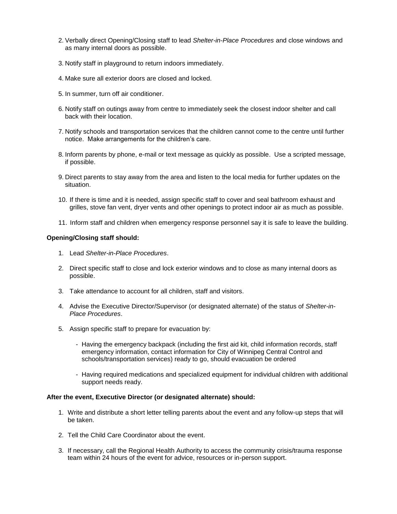- 2. Verbally direct Opening/Closing staff to lead *Shelter-in-Place Procedures* and close windows and as many internal doors as possible.
- 3. Notify staff in playground to return indoors immediately.
- 4. Make sure all exterior doors are closed and locked.
- 5. In summer, turn off air conditioner.
- 6. Notify staff on outings away from centre to immediately seek the closest indoor shelter and call back with their location.
- 7. Notify schools and transportation services that the children cannot come to the centre until further notice. Make arrangements for the children's care.
- 8. Inform parents by phone, e-mail or text message as quickly as possible. Use a scripted message, if possible.
- 9. Direct parents to stay away from the area and listen to the local media for further updates on the situation.
- 10. If there is time and it is needed, assign specific staff to cover and seal bathroom exhaust and grilles, stove fan vent, dryer vents and other openings to protect indoor air as much as possible.
- 11. Inform staff and children when emergency response personnel say it is safe to leave the building.

#### **Opening/Closing staff should:**

- 1. Lead *Shelter-in-Place Procedures*.
- 2. Direct specific staff to close and lock exterior windows and to close as many internal doors as possible.
- 3. Take attendance to account for all children, staff and visitors.
- 4. Advise the Executive Director/Supervisor (or designated alternate) of the status of *Shelter-in-Place Procedures*.
- 5. Assign specific staff to prepare for evacuation by:
	- Having the emergency backpack (including the first aid kit, child information records, staff emergency information, contact information for City of Winnipeg Central Control and schools/transportation services) ready to go, should evacuation be ordered
	- Having required medications and specialized equipment for individual children with additional support needs ready.

#### **After the event, Executive Director (or designated alternate) should:**

- 1. Write and distribute a short letter telling parents about the event and any follow-up steps that will be taken.
- 2. Tell the Child Care Coordinator about the event.
- 3. If necessary, call the Regional Health Authority to access the community crisis/trauma response team within 24 hours of the event for advice, resources or in-person support.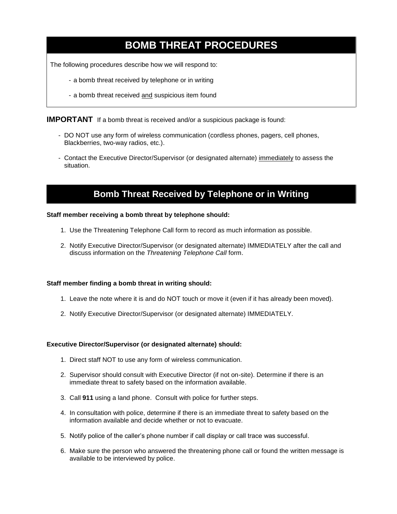## **BOMB THREAT PROCEDURES**

The following procedures describe how we will respond to:

- a bomb threat received by telephone or in writing
- a bomb threat received and suspicious item found

**IMPORTANT** If a bomb threat is received and/or a suspicious package is found:

- DO NOT use any form of wireless communication (cordless phones, pagers, cell phones, Blackberries, two-way radios, etc.).
- Contact the Executive Director/Supervisor (or designated alternate) immediately to assess the situation.

## **Bomb Threat Received by Telephone or in Writing**

#### **Staff member receiving a bomb threat by telephone should:**

- 1. Use the Threatening Telephone Call form to record as much information as possible.
- 2. Notify Executive Director/Supervisor (or designated alternate) IMMEDIATELY after the call and discuss information on the *Threatening Telephone Call* form.

#### **Staff member finding a bomb threat in writing should:**

- 1. Leave the note where it is and do NOT touch or move it (even if it has already been moved).
- 2. Notify Executive Director/Supervisor (or designated alternate) IMMEDIATELY.

#### **Executive Director/Supervisor (or designated alternate) should:**

- 1. Direct staff NOT to use any form of wireless communication.
- 2. Supervisor should consult with Executive Director (if not on-site). Determine if there is an immediate threat to safety based on the information available.
- 3. Call **911** using a land phone. Consult with police for further steps.
- 4. In consultation with police, determine if there is an immediate threat to safety based on the information available and decide whether or not to evacuate.
- 5. Notify police of the caller's phone number if call display or call trace was successful.
- 6. Make sure the person who answered the threatening phone call or found the written message is available to be interviewed by police.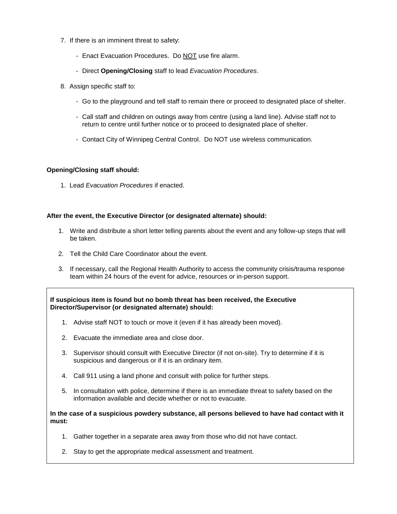- 7. If there is an imminent threat to safety:
	- Enact Evacuation Procedures. Do NOT use fire alarm.
	- Direct **Opening/Closing** staff to lead *Evacuation Procedures*.
- 8. Assign specific staff to:
	- Go to the playground and tell staff to remain there or proceed to designated place of shelter.
	- Call staff and children on outings away from centre (using a land line). Advise staff not to return to centre until further notice or to proceed to designated place of shelter.
	- Contact City of Winnipeg Central Control. Do NOT use wireless communication.

#### **Opening/Closing staff should:**

1. Lead *Evacuation Procedures* if enacted.

#### **After the event, the Executive Director (or designated alternate) should:**

- 1. Write and distribute a short letter telling parents about the event and any follow-up steps that will be taken.
- 2. Tell the Child Care Coordinator about the event.
- 3. If necessary, call the Regional Health Authority to access the community crisis/trauma response team within 24 hours of the event for advice, resources or in-person support.

**If suspicious item is found but no bomb threat has been received, the Executive Director/Supervisor (or designated alternate) should:**

- 1. Advise staff NOT to touch or move it (even if it has already been moved).
- 2. Evacuate the immediate area and close door.
- 3. Supervisor should consult with Executive Director (if not on-site). Try to determine if it is suspicious and dangerous or if it is an ordinary item.
- 4. Call 911 using a land phone and consult with police for further steps.
- 5. In consultation with police, determine if there is an immediate threat to safety based on the information available and decide whether or not to evacuate.

**In the case of a suspicious powdery substance, all persons believed to have had contact with it must:**

- 1. Gather together in a separate area away from those who did not have contact.
- 2. Stay to get the appropriate medical assessment and treatment.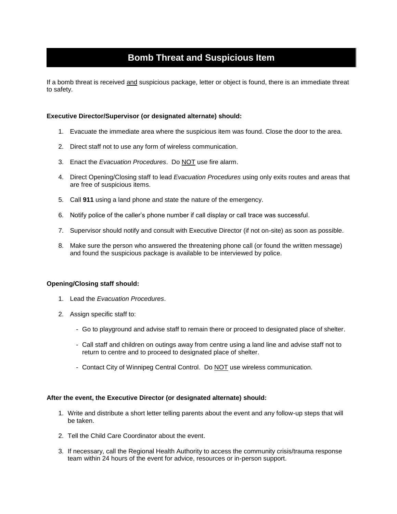## **Bomb Threat and Suspicious Item**

If a bomb threat is received and suspicious package, letter or object is found, there is an immediate threat to safety.

#### **Executive Director/Supervisor (or designated alternate) should:**

- 1. Evacuate the immediate area where the suspicious item was found. Close the door to the area.
- 2. Direct staff not to use any form of wireless communication.
- 3. Enact the *Evacuation Procedures*. Do NOT use fire alarm.
- 4. Direct Opening/Closing staff to lead *Evacuation Procedures* using only exits routes and areas that are free of suspicious items.
- 5. Call **911** using a land phone and state the nature of the emergency.
- 6. Notify police of the caller's phone number if call display or call trace was successful.
- 7. Supervisor should notify and consult with Executive Director (if not on-site) as soon as possible.
- 8. Make sure the person who answered the threatening phone call (or found the written message) and found the suspicious package is available to be interviewed by police.

#### **Opening/Closing staff should:**

- 1. Lead the *Evacuation Procedures*.
- 2. Assign specific staff to:
	- Go to playground and advise staff to remain there or proceed to designated place of shelter.
	- Call staff and children on outings away from centre using a land line and advise staff not to return to centre and to proceed to designated place of shelter.
	- Contact City of Winnipeg Central Control. Do NOT use wireless communication.

#### **After the event, the Executive Director (or designated alternate) should:**

- 1. Write and distribute a short letter telling parents about the event and any follow-up steps that will be taken.
- 2. Tell the Child Care Coordinator about the event.
- 3. If necessary, call the Regional Health Authority to access the community crisis/trauma response team within 24 hours of the event for advice, resources or in-person support.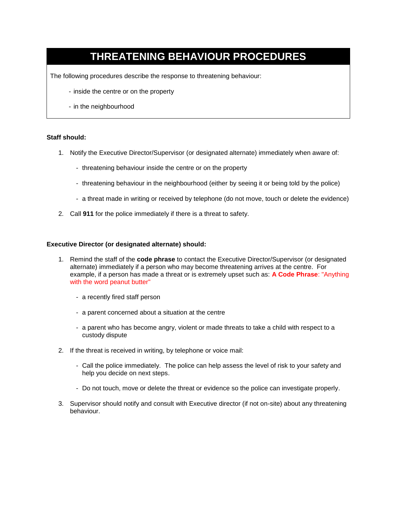## **THREATENING BEHAVIOUR PROCEDURES**

The following procedures describe the response to threatening behaviour:

- inside the centre or on the property
- in the neighbourhood

#### **Staff should:**

- 1. Notify the Executive Director/Supervisor (or designated alternate) immediately when aware of:
	- threatening behaviour inside the centre or on the property
	- threatening behaviour in the neighbourhood (either by seeing it or being told by the police)
	- a threat made in writing or received by telephone (do not move, touch or delete the evidence)
- 2. Call **911** for the police immediately if there is a threat to safety.

#### **Executive Director (or designated alternate) should:**

- 1. Remind the staff of the **code phrase** to contact the Executive Director/Supervisor (or designated alternate) immediately if a person who may become threatening arrives at the centre. For example, if a person has made a threat or is extremely upset such as: **A Code Phrase**: "Anything with the word peanut butter"
	- a recently fired staff person
	- a parent concerned about a situation at the centre
	- a parent who has become angry, violent or made threats to take a child with respect to a custody dispute
- 2. If the threat is received in writing, by telephone or voice mail:
	- Call the police immediately. The police can help assess the level of risk to your safety and help you decide on next steps.
	- Do not touch, move or delete the threat or evidence so the police can investigate properly.
- 3. Supervisor should notify and consult with Executive director (if not on-site) about any threatening behaviour.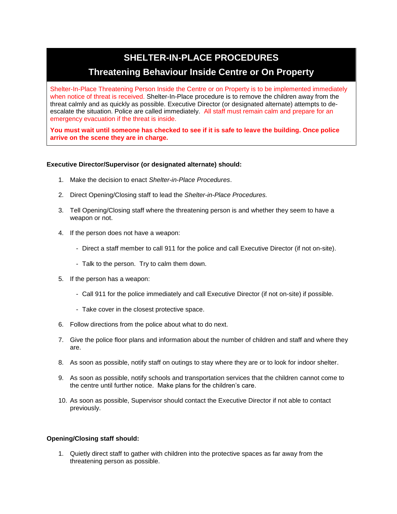## **SHELTER-IN-PLACE PROCEDURES Threatening Behaviour Inside Centre or On Property**

Shelter-In-Place Threatening Person Inside the Centre or on Property is to be implemented immediately when notice of threat is received. Shelter-In-Place procedure is to remove the children away from the threat calmly and as quickly as possible. Executive Director (or designated alternate) attempts to deescalate the situation. Police are called immediately. All staff must remain calm and prepare for an emergency evacuation if the threat is inside.

**You must wait until someone has checked to see if it is safe to leave the building. Once police arrive on the scene they are in charge.**

#### **Executive Director/Supervisor (or designated alternate) should:**

- 1. Make the decision to enact *Shelter-in-Place Procedures*.
- 2. Direct Opening/Closing staff to lead the *Shelter-in-Place Procedures.*
- 3. Tell Opening/Closing staff where the threatening person is and whether they seem to have a weapon or not.
- 4. If the person does not have a weapon:
	- Direct a staff member to call 911 for the police and call Executive Director (if not on-site).
	- Talk to the person. Try to calm them down.
- 5. If the person has a weapon:
	- Call 911 for the police immediately and call Executive Director (if not on-site) if possible.
	- Take cover in the closest protective space.
- 6. Follow directions from the police about what to do next.
- 7. Give the police floor plans and information about the number of children and staff and where they are.
- 8. As soon as possible, notify staff on outings to stay where they are or to look for indoor shelter.
- 9. As soon as possible, notify schools and transportation services that the children cannot come to the centre until further notice. Make plans for the children's care.
- 10. As soon as possible, Supervisor should contact the Executive Director if not able to contact previously.

#### **Opening/Closing staff should:**

1. Quietly direct staff to gather with children into the protective spaces as far away from the threatening person as possible.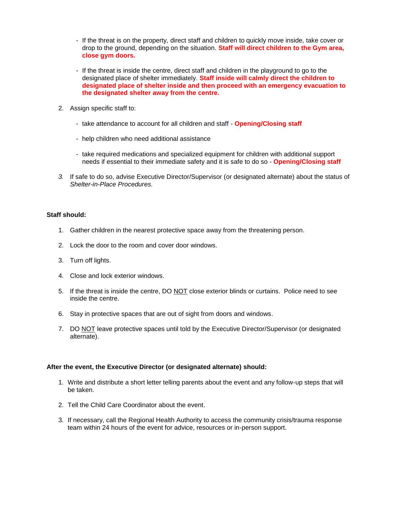- If the threat is on the property, direct staff and children to quickly move inside, take cover or drop to the ground, depending on the situation. **Staff will direct children to the Gym area, close gym doors.**
- If the threat is inside the centre, direct staff and children in the playground to go to the designated place of shelter immediately. **Staff inside will calmly direct the children to designated place of shelter inside and then proceed with an emergency evacuation to the designated shelter away from the centre.**
- 2. Assign specific staff to:
	- take attendance to account for all children and staff **Opening/Closing staff**
	- help children who need additional assistance
	- take required medications and specialized equipment for children with additional support needs if essential to their immediate safety and it is safe to do so - **Opening/Closing staff**
- *3.* If safe to do so, advise Executive Director/Supervisor (or designated alternate) about the status of *Shelter-in-Place Procedures.*

#### **Staff should:**

- 1. Gather children in the nearest protective space away from the threatening person.
- 2. Lock the door to the room and cover door windows.
- 3. Turn off lights.
- 4. Close and lock exterior windows.
- 5. If the threat is inside the centre, DO NOT close exterior blinds or curtains. Police need to see inside the centre.
- 6. Stay in protective spaces that are out of sight from doors and windows.
- 7. DO NOT leave protective spaces until told by the Executive Director/Supervisor (or designated alternate).

#### **After the event, the Executive Director (or designated alternate) should:**

- 1. Write and distribute a short letter telling parents about the event and any follow-up steps that will be taken.
- 2. Tell the Child Care Coordinator about the event.
- 3. If necessary, call the Regional Health Authority to access the community crisis/trauma response team within 24 hours of the event for advice, resources or in-person support.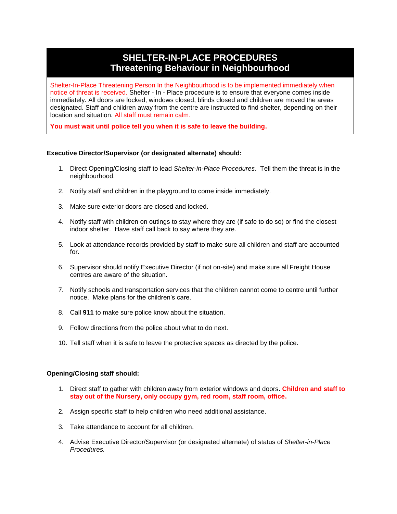## **SHELTER-IN-PLACE PROCEDURES Threatening Behaviour in Neighbourhood**

Shelter-In-Place Threatening Person In the Neighbourhood is to be implemented immediately when notice of threat is received. Shelter - In - Place procedure is to ensure that everyone comes inside immediately. All doors are locked, windows closed, blinds closed and children are moved the areas designated. Staff and children away from the centre are instructed to find shelter, depending on their location and situation. All staff must remain calm.

**You must wait until police tell you when it is safe to leave the building.**

#### **Executive Director/Supervisor (or designated alternate) should:**

- 1. Direct Opening/Closing staff to lead *Shelter-in-Place Procedures.* Tell them the threat is in the neighbourhood.
- 2. Notify staff and children in the playground to come inside immediately.
- 3. Make sure exterior doors are closed and locked.
- 4. Notify staff with children on outings to stay where they are (if safe to do so) or find the closest indoor shelter. Have staff call back to say where they are.
- 5. Look at attendance records provided by staff to make sure all children and staff are accounted for.
- 6. Supervisor should notify Executive Director (if not on-site) and make sure all Freight House centres are aware of the situation.
- 7. Notify schools and transportation services that the children cannot come to centre until further notice. Make plans for the children's care.
- 8. Call **911** to make sure police know about the situation.
- 9. Follow directions from the police about what to do next.
- 10. Tell staff when it is safe to leave the protective spaces as directed by the police.

#### **Opening/Closing staff should:**

- 1. Direct staff to gather with children away from exterior windows and doors. **Children and staff to stay out of the Nursery, only occupy gym, red room, staff room, office.**
- 2. Assign specific staff to help children who need additional assistance.
- 3. Take attendance to account for all children.
- 4. Advise Executive Director/Supervisor (or designated alternate) of status of *Shelter-in-Place Procedures.*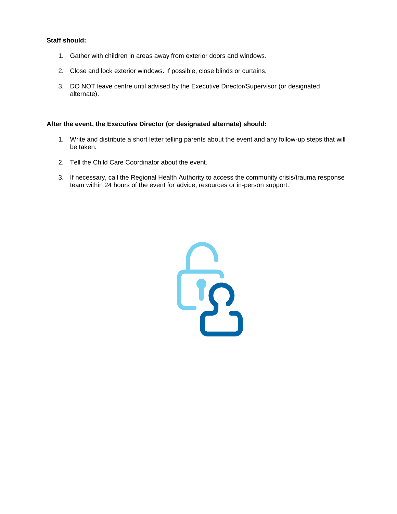#### **Staff should:**

- 1. Gather with children in areas away from exterior doors and windows.
- 2. Close and lock exterior windows. If possible, close blinds or curtains.
- 3. DO NOT leave centre until advised by the Executive Director/Supervisor (or designated alternate).

#### **After the event, the Executive Director (or designated alternate) should:**

- 1. Write and distribute a short letter telling parents about the event and any follow-up steps that will be taken.
- 2. Tell the Child Care Coordinator about the event.
- 3. If necessary, call the Regional Health Authority to access the community crisis/trauma response team within 24 hours of the event for advice, resources or in-person support.

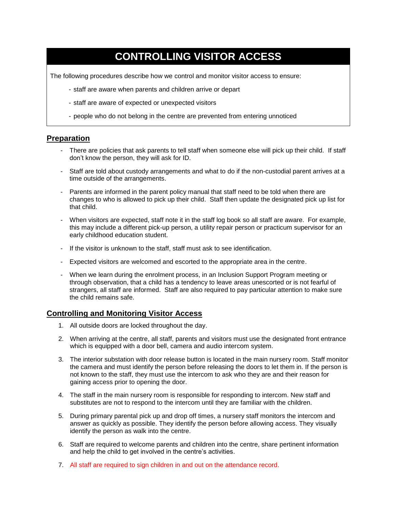## **CONTROLLING VISITOR ACCESS**

The following procedures describe how we control and monitor visitor access to ensure:

- staff are aware when parents and children arrive or depart
- staff are aware of expected or unexpected visitors
- people who do not belong in the centre are prevented from entering unnoticed

#### **Preparation**

- There are policies that ask parents to tell staff when someone else will pick up their child. If staff don't know the person, they will ask for ID.
- Staff are told about custody arrangements and what to do if the non-custodial parent arrives at a time outside of the arrangements.
- Parents are informed in the parent policy manual that staff need to be told when there are changes to who is allowed to pick up their child. Staff then update the designated pick up list for that child.
- When visitors are expected, staff note it in the staff log book so all staff are aware. For example, this may include a different pick-up person, a utility repair person or practicum supervisor for an early childhood education student.
- If the visitor is unknown to the staff, staff must ask to see identification.
- Expected visitors are welcomed and escorted to the appropriate area in the centre.
- When we learn during the enrolment process, in an Inclusion Support Program meeting or through observation, that a child has a tendency to leave areas unescorted or is not fearful of strangers, all staff are informed. Staff are also required to pay particular attention to make sure the child remains safe.

### **Controlling and Monitoring Visitor Access**

- 1. All outside doors are locked throughout the day.
- 2. When arriving at the centre, all staff, parents and visitors must use the designated front entrance which is equipped with a door bell, camera and audio intercom system.
- 3. The interior substation with door release button is located in the main nursery room. Staff monitor the camera and must identify the person before releasing the doors to let them in. If the person is not known to the staff, they must use the intercom to ask who they are and their reason for gaining access prior to opening the door.
- 4. The staff in the main nursery room is responsible for responding to intercom. New staff and substitutes are not to respond to the intercom until they are familiar with the children.
- 5. During primary parental pick up and drop off times, a nursery staff monitors the intercom and answer as quickly as possible. They identify the person before allowing access. They visually identify the person as walk into the centre.
- 6. Staff are required to welcome parents and children into the centre, share pertinent information and help the child to get involved in the centre's activities.
- 7. All staff are required to sign children in and out on the attendance record.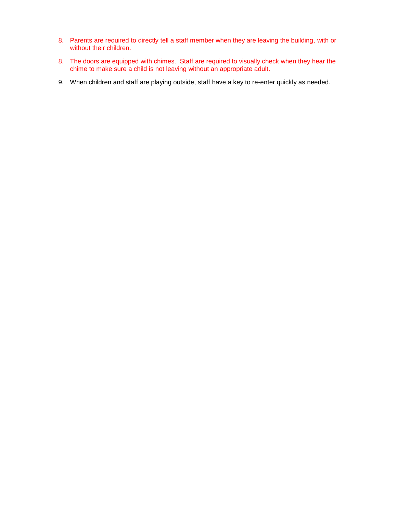- 8. Parents are required to directly tell a staff member when they are leaving the building, with or without their children.
- 8. The doors are equipped with chimes. Staff are required to visually check when they hear the chime to make sure a child is not leaving without an appropriate adult.
- 9. When children and staff are playing outside, staff have a key to re-enter quickly as needed.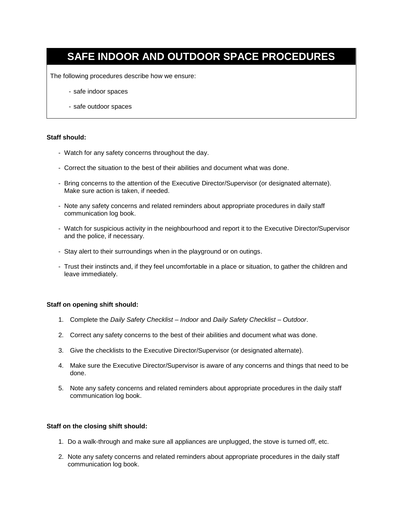## **SAFE INDOOR AND OUTDOOR SPACE PROCEDURES**

The following procedures describe how we ensure:

- safe indoor spaces
- safe outdoor spaces

#### **Staff should:**

- Watch for any safety concerns throughout the day.
- Correct the situation to the best of their abilities and document what was done.
- Bring concerns to the attention of the Executive Director/Supervisor (or designated alternate). Make sure action is taken, if needed.
- Note any safety concerns and related reminders about appropriate procedures in daily staff communication log book.
- Watch for suspicious activity in the neighbourhood and report it to the Executive Director/Supervisor and the police, if necessary.
- Stay alert to their surroundings when in the playground or on outings.
- Trust their instincts and, if they feel uncomfortable in a place or situation, to gather the children and leave immediately.

#### **Staff on opening shift should:**

- 1. Complete the *Daily Safety Checklist – Indoor* and *Daily Safety Checklist – Outdoor*.
- 2. Correct any safety concerns to the best of their abilities and document what was done.
- 3. Give the checklists to the Executive Director/Supervisor (or designated alternate).
- 4. Make sure the Executive Director/Supervisor is aware of any concerns and things that need to be done.
- 5. Note any safety concerns and related reminders about appropriate procedures in the daily staff communication log book.

#### **Staff on the closing shift should:**

- 1. Do a walk-through and make sure all appliances are unplugged, the stove is turned off, etc.
- 2. Note any safety concerns and related reminders about appropriate procedures in the daily staff communication log book.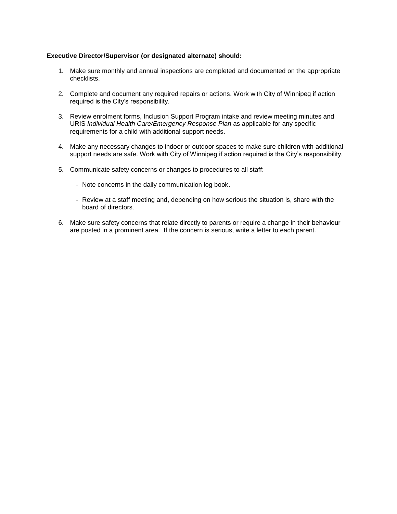#### **Executive Director/Supervisor (or designated alternate) should:**

- 1. Make sure monthly and annual inspections are completed and documented on the appropriate checklists.
- 2. Complete and document any required repairs or actions. Work with City of Winnipeg if action required is the City's responsibility.
- 3. Review enrolment forms, Inclusion Support Program intake and review meeting minutes and URIS *Individual Health Care/Emergency Response Plan* as applicable for any specific requirements for a child with additional support needs.
- 4. Make any necessary changes to indoor or outdoor spaces to make sure children with additional support needs are safe. Work with City of Winnipeg if action required is the City's responsibility.
- 5. Communicate safety concerns or changes to procedures to all staff:
	- Note concerns in the daily communication log book.
	- Review at a staff meeting and, depending on how serious the situation is, share with the board of directors.
- 6. Make sure safety concerns that relate directly to parents or require a change in their behaviour are posted in a prominent area. If the concern is serious, write a letter to each parent.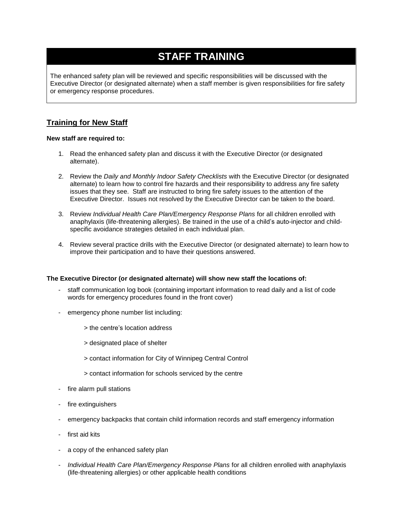## **STAFF TRAINING**

The enhanced safety plan will be reviewed and specific responsibilities will be discussed with the Executive Director (or designated alternate) when a staff member is given responsibilities for fire safety or emergency response procedures.

## **Training for New Staff**

#### **New staff are required to:**

- 1. Read the enhanced safety plan and discuss it with the Executive Director (or designated alternate).
- 2. Review the *Daily and Monthly Indoor Safety Checklists* with the Executive Director (or designated alternate) to learn how to control fire hazards and their responsibility to address any fire safety issues that they see. Staff are instructed to bring fire safety issues to the attention of the Executive Director. Issues not resolved by the Executive Director can be taken to the board.
- 3. Review *Individual Health Care Plan/Emergency Response Plans* for all children enrolled with anaphylaxis (life-threatening allergies). Be trained in the use of a child's auto-injector and childspecific avoidance strategies detailed in each individual plan.
- 4. Review several practice drills with the Executive Director (or designated alternate) to learn how to improve their participation and to have their questions answered.

#### **The Executive Director (or designated alternate) will show new staff the locations of:**

- staff communication log book (containing important information to read daily and a list of code words for emergency procedures found in the front cover)
- emergency phone number list including:
	- > the centre's location address
	- > designated place of shelter
	- > contact information for City of Winnipeg Central Control
	- > contact information for schools serviced by the centre
- fire alarm pull stations
- fire extinguishers
- emergency backpacks that contain child information records and staff emergency information
- first aid kits
- a copy of the enhanced safety plan
- *Individual Health Care Plan/Emergency Response Plans* for all children enrolled with anaphylaxis (life-threatening allergies) or other applicable health conditions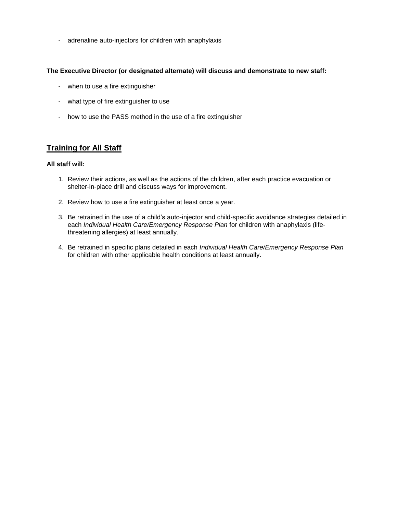- adrenaline auto-injectors for children with anaphylaxis

#### **The Executive Director (or designated alternate) will discuss and demonstrate to new staff:**

- when to use a fire extinguisher
- what type of fire extinguisher to use
- how to use the PASS method in the use of a fire extinguisher

## **Training for All Staff**

#### **All staff will:**

- 1. Review their actions, as well as the actions of the children, after each practice evacuation or shelter-in-place drill and discuss ways for improvement.
- 2. Review how to use a fire extinguisher at least once a year.
- 3. Be retrained in the use of a child's auto-injector and child-specific avoidance strategies detailed in each *Individual Health Care/Emergency Response Plan* for children with anaphylaxis (lifethreatening allergies) at least annually.
- 4. Be retrained in specific plans detailed in each *Individual Health Care/Emergency Response Plan*  for children with other applicable health conditions at least annually.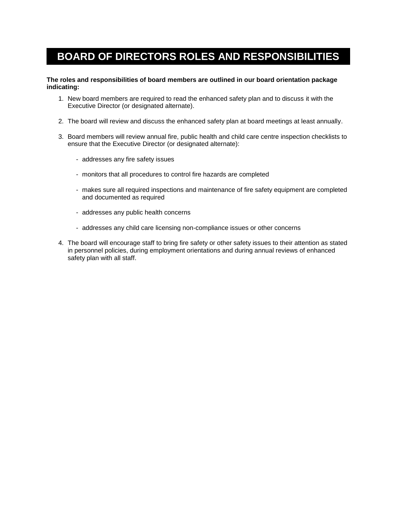## **BOARD OF DIRECTORS ROLES AND RESPONSIBILITIES**

#### **The roles and responsibilities of board members are outlined in our board orientation package indicating:**

- 1. New board members are required to read the enhanced safety plan and to discuss it with the Executive Director (or designated alternate).
- 2. The board will review and discuss the enhanced safety plan at board meetings at least annually.
- 3. Board members will review annual fire, public health and child care centre inspection checklists to ensure that the Executive Director (or designated alternate):
	- addresses any fire safety issues
	- monitors that all procedures to control fire hazards are completed
	- makes sure all required inspections and maintenance of fire safety equipment are completed and documented as required
	- addresses any public health concerns
	- addresses any child care licensing non-compliance issues or other concerns
- 4. The board will encourage staff to bring fire safety or other safety issues to their attention as stated in personnel policies, during employment orientations and during annual reviews of enhanced safety plan with all staff.